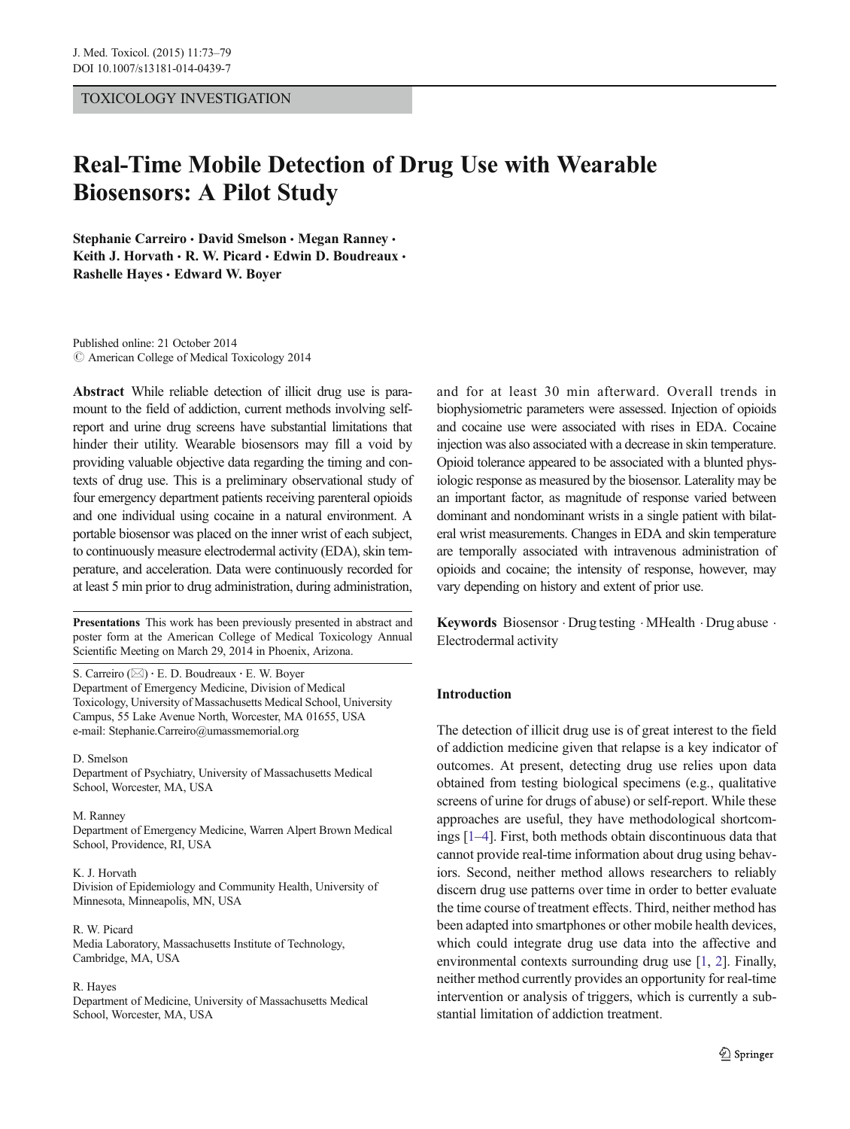## TOXICOLOGY INVESTIGATION

# Real-Time Mobile Detection of Drug Use with Wearable Biosensors: A Pilot Study

Stephanie Carreiro · David Smelson · Megan Ranney · Keith J. Horvath · R. W. Picard · Edwin D. Boudreaux · Rashelle Haves · Edward W. Bover

Published online: 21 October 2014  $\odot$  American College of Medical Toxicology 2014

Abstract While reliable detection of illicit drug use is paramount to the field of addiction, current methods involving selfreport and urine drug screens have substantial limitations that hinder their utility. Wearable biosensors may fill a void by providing valuable objective data regarding the timing and contexts of drug use. This is a preliminary observational study of four emergency department patients receiving parenteral opioids and one individual using cocaine in a natural environment. A portable biosensor was placed on the inner wrist of each subject, to continuously measure electrodermal activity (EDA), skin temperature, and acceleration. Data were continuously recorded for at least 5 min prior to drug administration, during administration,

Presentations This work has been previously presented in abstract and poster form at the American College of Medical Toxicology Annual Scientific Meeting on March 29, 2014 in Phoenix, Arizona.

S. Carreiro ( $\boxtimes$ ) · E. D. Boudreaux · E. W. Boyer Department of Emergency Medicine, Division of Medical Toxicology, University of Massachusetts Medical School, University Campus, 55 Lake Avenue North, Worcester, MA 01655, USA e-mail: Stephanie.Carreiro@umassmemorial.org

#### D. Smelson

Department of Psychiatry, University of Massachusetts Medical School, Worcester, MA, USA

#### M. Ranney

Department of Emergency Medicine, Warren Alpert Brown Medical School, Providence, RI, USA

#### K. J. Horvath

Division of Epidemiology and Community Health, University of Minnesota, Minneapolis, MN, USA

## R. W. Picard

Media Laboratory, Massachusetts Institute of Technology, Cambridge, MA, USA

## R. Hayes

Department of Medicine, University of Massachusetts Medical School, Worcester, MA, USA

and for at least 30 min afterward. Overall trends in biophysiometric parameters were assessed. Injection of opioids and cocaine use were associated with rises in EDA. Cocaine injection was also associated with a decrease in skin temperature. Opioid tolerance appeared to be associated with a blunted physiologic response as measured by the biosensor. Laterality may be an important factor, as magnitude of response varied between dominant and nondominant wrists in a single patient with bilateral wrist measurements. Changes in EDA and skin temperature are temporally associated with intravenous administration of opioids and cocaine; the intensity of response, however, may vary depending on history and extent of prior use.

Keywords Biosensor . Drug testing . MHealth . Drug abuse . Electrodermal activity

# Introduction

The detection of illicit drug use is of great interest to the field of addiction medicine given that relapse is a key indicator of outcomes. At present, detecting drug use relies upon data obtained from testing biological specimens (e.g., qualitative screens of urine for drugs of abuse) or self-report. While these approaches are useful, they have methodological shortcomings [\[1](#page-6-0)–[4\]](#page-6-0). First, both methods obtain discontinuous data that cannot provide real-time information about drug using behaviors. Second, neither method allows researchers to reliably discern drug use patterns over time in order to better evaluate the time course of treatment effects. Third, neither method has been adapted into smartphones or other mobile health devices, which could integrate drug use data into the affective and environmental contexts surrounding drug use [\[1,](#page-6-0) [2](#page-6-0)]. Finally, neither method currently provides an opportunity for real-time intervention or analysis of triggers, which is currently a substantial limitation of addiction treatment.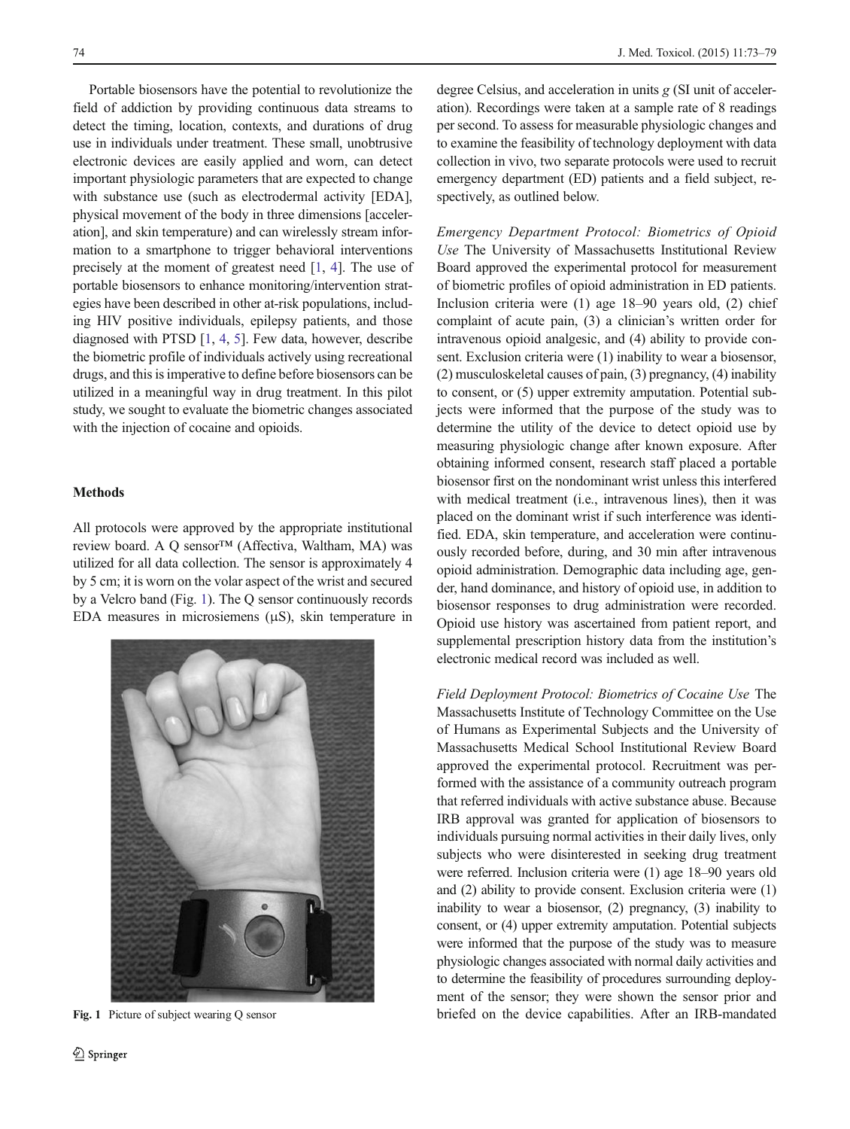Portable biosensors have the potential to revolutionize the field of addiction by providing continuous data streams to detect the timing, location, contexts, and durations of drug use in individuals under treatment. These small, unobtrusive electronic devices are easily applied and worn, can detect important physiologic parameters that are expected to change with substance use (such as electrodermal activity [EDA], physical movement of the body in three dimensions [acceleration], and skin temperature) and can wirelessly stream information to a smartphone to trigger behavioral interventions precisely at the moment of greatest need [[1,](#page-6-0) [4\]](#page-6-0). The use of portable biosensors to enhance monitoring/intervention strategies have been described in other at-risk populations, including HIV positive individuals, epilepsy patients, and those diagnosed with PTSD [\[1](#page-6-0), [4,](#page-6-0) [5\]](#page-6-0). Few data, however, describe the biometric profile of individuals actively using recreational drugs, and this is imperative to define before biosensors can be utilized in a meaningful way in drug treatment. In this pilot study, we sought to evaluate the biometric changes associated with the injection of cocaine and opioids.

## Methods

All protocols were approved by the appropriate institutional review board. A Q sensor™ (Affectiva, Waltham, MA) was utilized for all data collection. The sensor is approximately 4 by 5 cm; it is worn on the volar aspect of the wrist and secured by a Velcro band (Fig. 1). The Q sensor continuously records EDA measures in microsiemens  $(\mu S)$ , skin temperature in



degree Celsius, and acceleration in units  $\varrho$  (SI unit of acceleration). Recordings were taken at a sample rate of 8 readings per second. To assess for measurable physiologic changes and to examine the feasibility of technology deployment with data collection in vivo, two separate protocols were used to recruit emergency department (ED) patients and a field subject, respectively, as outlined below.

Emergency Department Protocol: Biometrics of Opioid Use The University of Massachusetts Institutional Review Board approved the experimental protocol for measurement of biometric profiles of opioid administration in ED patients. Inclusion criteria were (1) age 18–90 years old, (2) chief complaint of acute pain, (3) a clinician's written order for intravenous opioid analgesic, and (4) ability to provide consent. Exclusion criteria were (1) inability to wear a biosensor, (2) musculoskeletal causes of pain, (3) pregnancy, (4) inability to consent, or (5) upper extremity amputation. Potential subjects were informed that the purpose of the study was to determine the utility of the device to detect opioid use by measuring physiologic change after known exposure. After obtaining informed consent, research staff placed a portable biosensor first on the nondominant wrist unless this interfered with medical treatment (i.e., intravenous lines), then it was placed on the dominant wrist if such interference was identified. EDA, skin temperature, and acceleration were continuously recorded before, during, and 30 min after intravenous opioid administration. Demographic data including age, gender, hand dominance, and history of opioid use, in addition to biosensor responses to drug administration were recorded. Opioid use history was ascertained from patient report, and supplemental prescription history data from the institution's electronic medical record was included as well.

Field Deployment Protocol: Biometrics of Cocaine Use The Massachusetts Institute of Technology Committee on the Use of Humans as Experimental Subjects and the University of Massachusetts Medical School Institutional Review Board approved the experimental protocol. Recruitment was performed with the assistance of a community outreach program that referred individuals with active substance abuse. Because IRB approval was granted for application of biosensors to individuals pursuing normal activities in their daily lives, only subjects who were disinterested in seeking drug treatment were referred. Inclusion criteria were (1) age 18–90 years old and (2) ability to provide consent. Exclusion criteria were (1) inability to wear a biosensor, (2) pregnancy, (3) inability to consent, or (4) upper extremity amputation. Potential subjects were informed that the purpose of the study was to measure physiologic changes associated with normal daily activities and to determine the feasibility of procedures surrounding deployment of the sensor; they were shown the sensor prior and Fig. 1 Picture of subject wearing Q sensor briefed on the device capabilities. After an IRB-mandated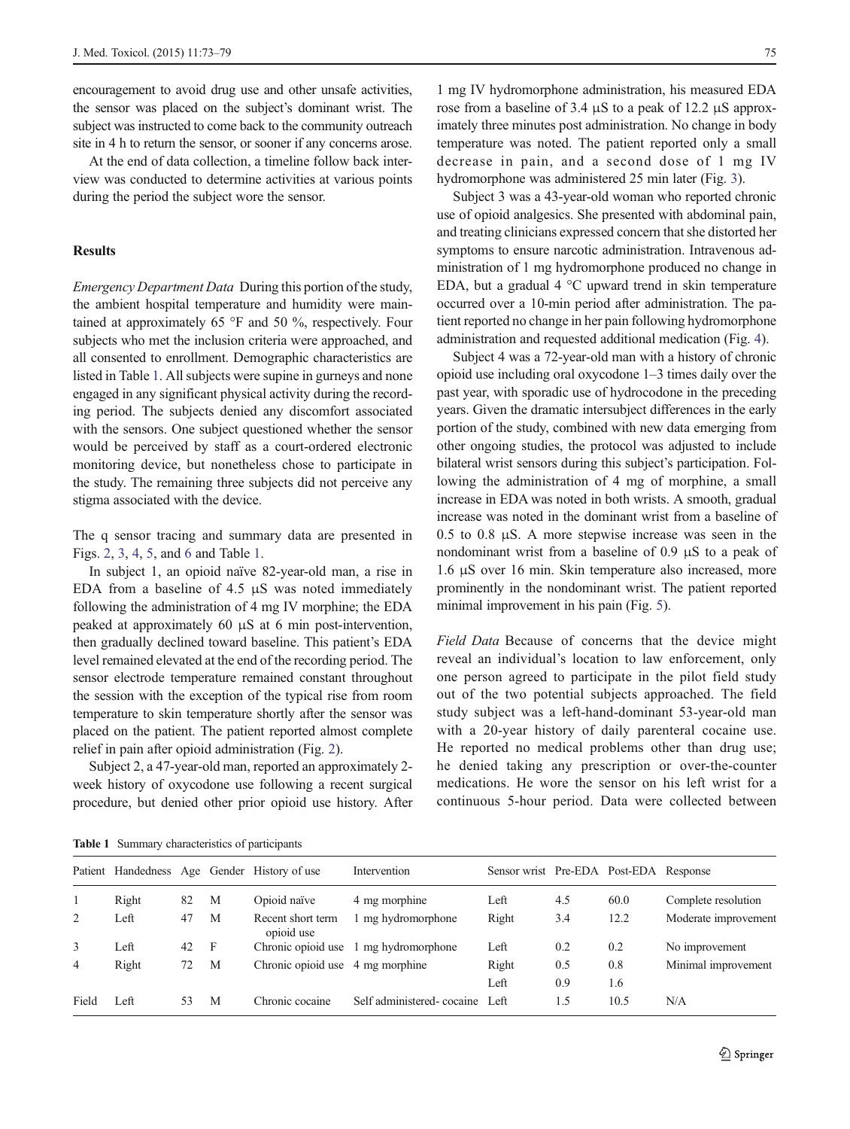encouragement to avoid drug use and other unsafe activities, the sensor was placed on the subject's dominant wrist. The subject was instructed to come back to the community outreach site in 4 h to return the sensor, or sooner if any concerns arose.

At the end of data collection, a timeline follow back interview was conducted to determine activities at various points during the period the subject wore the sensor.

# **Results**

Emergency Department Data During this portion of the study, the ambient hospital temperature and humidity were maintained at approximately 65 °F and 50 %, respectively. Four subjects who met the inclusion criteria were approached, and all consented to enrollment. Demographic characteristics are listed in Table 1. All subjects were supine in gurneys and none engaged in any significant physical activity during the recording period. The subjects denied any discomfort associated with the sensors. One subject questioned whether the sensor would be perceived by staff as a court-ordered electronic monitoring device, but nonetheless chose to participate in the study. The remaining three subjects did not perceive any stigma associated with the device.

The q sensor tracing and summary data are presented in Figs. [2,](#page-3-0) [3,](#page-3-0) [4,](#page-4-0) [5,](#page-4-0) and [6](#page-5-0) and Table 1.

In subject 1, an opioid naïve 82-year-old man, a rise in EDA from a baseline of  $4.5 \mu S$  was noted immediately following the administration of 4 mg IV morphine; the EDA peaked at approximately 60 μS at 6 min post-intervention, then gradually declined toward baseline. This patient's EDA level remained elevated at the end of the recording period. The sensor electrode temperature remained constant throughout the session with the exception of the typical rise from room temperature to skin temperature shortly after the sensor was placed on the patient. The patient reported almost complete relief in pain after opioid administration (Fig. [2](#page-3-0)).

Subject 2, a 47-year-old man, reported an approximately 2 week history of oxycodone use following a recent surgical procedure, but denied other prior opioid use history. After

1 mg IV hydromorphone administration, his measured EDA rose from a baseline of 3.4 μS to a peak of 12.2 μS approximately three minutes post administration. No change in body temperature was noted. The patient reported only a small decrease in pain, and a second dose of 1 mg IV hydromorphone was administered 25 min later (Fig. [3\)](#page-3-0).

Subject 3 was a 43-year-old woman who reported chronic use of opioid analgesics. She presented with abdominal pain, and treating clinicians expressed concern that she distorted her symptoms to ensure narcotic administration. Intravenous administration of 1 mg hydromorphone produced no change in EDA, but a gradual 4 °C upward trend in skin temperature occurred over a 10-min period after administration. The patient reported no change in her pain following hydromorphone administration and requested additional medication (Fig. [4\)](#page-4-0).

Subject 4 was a 72-year-old man with a history of chronic opioid use including oral oxycodone 1–3 times daily over the past year, with sporadic use of hydrocodone in the preceding years. Given the dramatic intersubject differences in the early portion of the study, combined with new data emerging from other ongoing studies, the protocol was adjusted to include bilateral wrist sensors during this subject's participation. Following the administration of 4 mg of morphine, a small increase in EDA was noted in both wrists. A smooth, gradual increase was noted in the dominant wrist from a baseline of  $0.5$  to  $0.8$   $\mu$ S. A more stepwise increase was seen in the nondominant wrist from a baseline of 0.9 μS to a peak of 1.6 μS over 16 min. Skin temperature also increased, more prominently in the nondominant wrist. The patient reported minimal improvement in his pain (Fig. [5\)](#page-4-0).

Field Data Because of concerns that the device might reveal an individual's location to law enforcement, only one person agreed to participate in the pilot field study out of the two potential subjects approached. The field study subject was a left-hand-dominant 53-year-old man with a 20-year history of daily parenteral cocaine use. He reported no medical problems other than drug use; he denied taking any prescription or over-the-counter medications. He wore the sensor on his left wrist for a continuous 5-hour period. Data were collected between

Table 1 Summary characteristics of participants

|                |       |    |     | Patient Handedness Age Gender History of use | Intervention                   | Sensor wrist Pre-EDA Post-EDA Response |     |      |                      |
|----------------|-------|----|-----|----------------------------------------------|--------------------------------|----------------------------------------|-----|------|----------------------|
|                | Right | 82 | M   | Opioid naïve                                 | 4 mg morphine                  | Left                                   | 4.5 | 60.0 | Complete resolution  |
| $\overline{2}$ | Left  | 47 | М   | Recent short term<br>opioid use              | mg hydromorphone               | Right                                  | 3.4 | 12.2 | Moderate improvement |
| 3              | Left  | 42 | - F | Chronic opioid use                           | 1 mg hydromorphone             | Left                                   | 0.2 | 0.2  | No improvement       |
| 4              | Right | 72 | M   | Chronic opioid use 4 mg morphine             |                                | Right                                  | 0.5 | 0.8  | Minimal improvement  |
|                |       |    |     |                                              |                                | Left                                   | 0.9 | 1.6  |                      |
| Field          | Left  | 53 | M   | Chronic cocaine                              | Self administered-cocaine Left |                                        | 1.5 | 10.5 | N/A                  |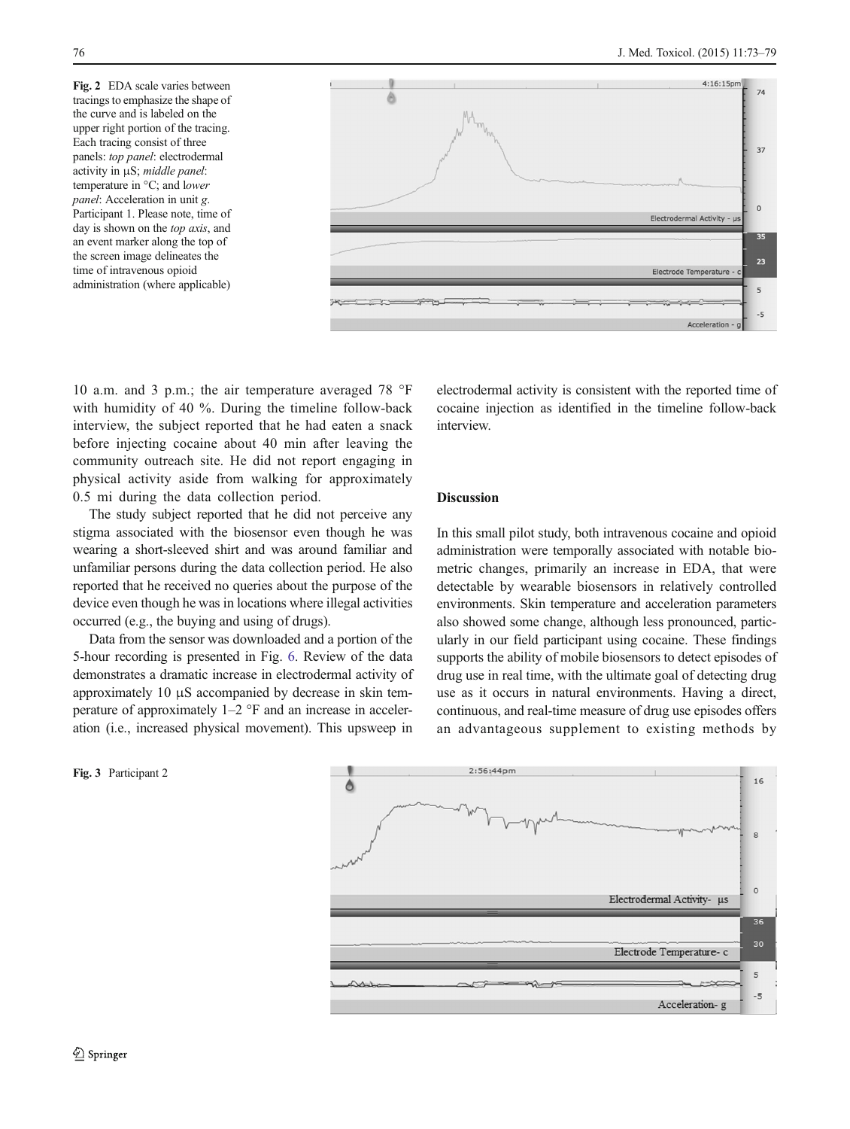<span id="page-3-0"></span>Fig. 2 EDA scale varies between tracings to emphasize the shape of the curve and is labeled on the upper right portion of the tracing. Each tracing consist of three panels: top panel: electrodermal activity in μS; middle panel: temperature in °C; and lower panel: Acceleration in unit g. Participant 1. Please note, time of day is shown on the *top axis*, and an event marker along the top of the screen image delineates the time of intravenous opioid administration (where applicable)



10 a.m. and 3 p.m.; the air temperature averaged 78 °F with humidity of 40 %. During the timeline follow-back interview, the subject reported that he had eaten a snack before injecting cocaine about 40 min after leaving the community outreach site. He did not report engaging in physical activity aside from walking for approximately 0.5 mi during the data collection period.

The study subject reported that he did not perceive any stigma associated with the biosensor even though he was wearing a short-sleeved shirt and was around familiar and unfamiliar persons during the data collection period. He also reported that he received no queries about the purpose of the device even though he was in locations where illegal activities occurred (e.g., the buying and using of drugs).

Data from the sensor was downloaded and a portion of the 5-hour recording is presented in Fig. [6.](#page-5-0) Review of the data demonstrates a dramatic increase in electrodermal activity of approximately 10 μS accompanied by decrease in skin temperature of approximately  $1-2$  °F and an increase in acceleration (i.e., increased physical movement). This upsweep in

Fig. 3 Participant 2

electrodermal activity is consistent with the reported time of cocaine injection as identified in the timeline follow-back interview.

# Discussion

In this small pilot study, both intravenous cocaine and opioid administration were temporally associated with notable biometric changes, primarily an increase in EDA, that were detectable by wearable biosensors in relatively controlled environments. Skin temperature and acceleration parameters also showed some change, although less pronounced, particularly in our field participant using cocaine. These findings supports the ability of mobile biosensors to detect episodes of drug use in real time, with the ultimate goal of detecting drug use as it occurs in natural environments. Having a direct, continuous, and real-time measure of drug use episodes offers an advantageous supplement to existing methods by

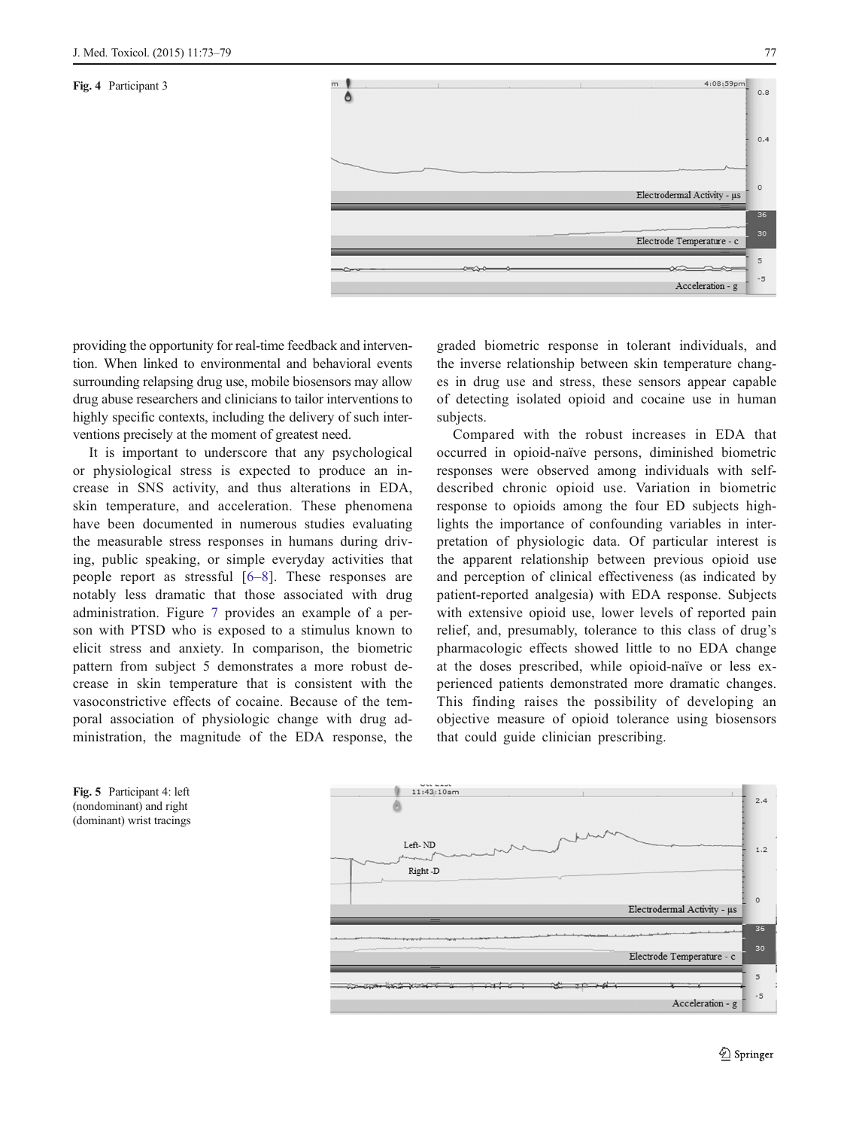## <span id="page-4-0"></span>Fig. 4 Participant 3



providing the opportunity for real-time feedback and intervention. When linked to environmental and behavioral events surrounding relapsing drug use, mobile biosensors may allow drug abuse researchers and clinicians to tailor interventions to highly specific contexts, including the delivery of such interventions precisely at the moment of greatest need.

It is important to underscore that any psychological or physiological stress is expected to produce an increase in SNS activity, and thus alterations in EDA, skin temperature, and acceleration. These phenomena have been documented in numerous studies evaluating the measurable stress responses in humans during driving, public speaking, or simple everyday activities that people report as stressful [[6](#page-6-0)–[8](#page-6-0)]. These responses are notably less dramatic that those associated with drug administration. Figure [7](#page-5-0) provides an example of a person with PTSD who is exposed to a stimulus known to elicit stress and anxiety. In comparison, the biometric pattern from subject 5 demonstrates a more robust decrease in skin temperature that is consistent with the vasoconstrictive effects of cocaine. Because of the temporal association of physiologic change with drug administration, the magnitude of the EDA response, the graded biometric response in tolerant individuals, and the inverse relationship between skin temperature changes in drug use and stress, these sensors appear capable of detecting isolated opioid and cocaine use in human subjects.

Compared with the robust increases in EDA that occurred in opioid-naïve persons, diminished biometric responses were observed among individuals with selfdescribed chronic opioid use. Variation in biometric response to opioids among the four ED subjects highlights the importance of confounding variables in interpretation of physiologic data. Of particular interest is the apparent relationship between previous opioid use and perception of clinical effectiveness (as indicated by patient-reported analgesia) with EDA response. Subjects with extensive opioid use, lower levels of reported pain relief, and, presumably, tolerance to this class of drug's pharmacologic effects showed little to no EDA change at the doses prescribed, while opioid-naïve or less experienced patients demonstrated more dramatic changes. This finding raises the possibility of developing an objective measure of opioid tolerance using biosensors that could guide clinician prescribing.

Fig. 5 Participant 4: left (nondominant) and right (dominant) wrist tracings

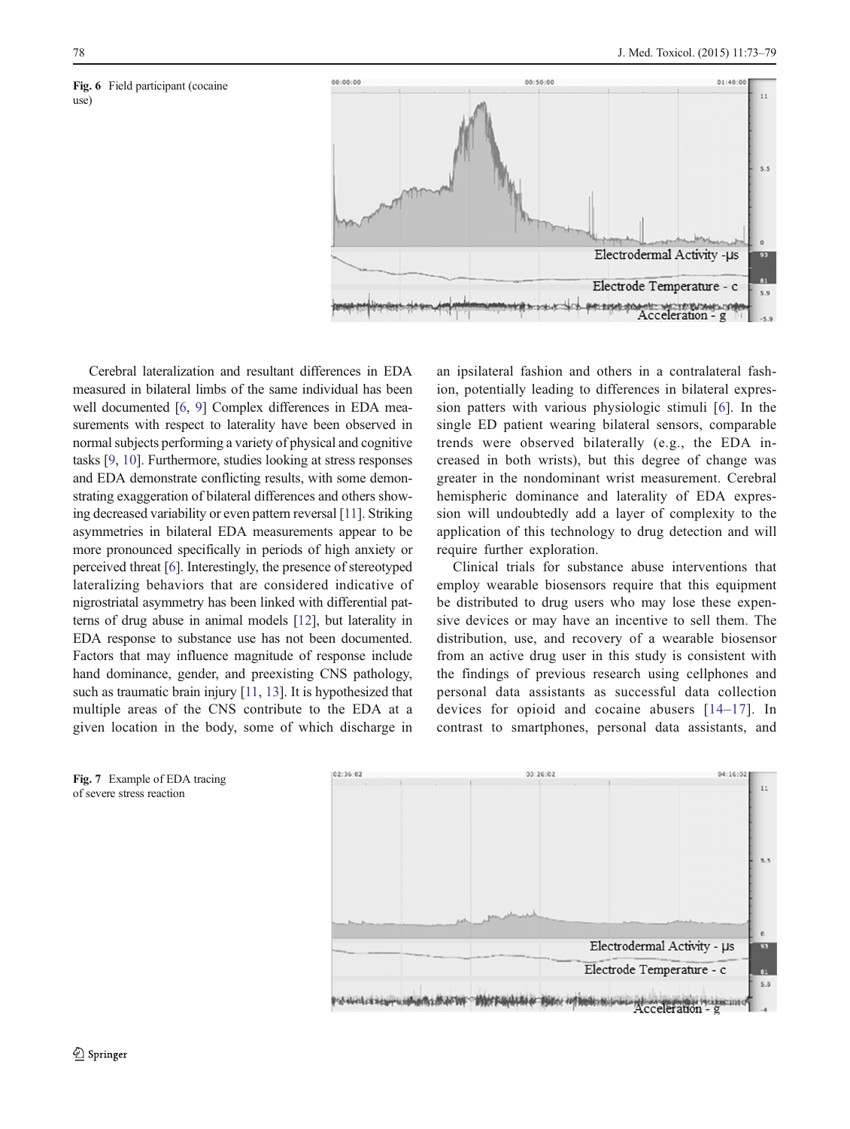<span id="page-5-0"></span>



Cerebral lateralization and resultant differences in EDA measured in bilateral limbs of the same individual has been well documented [[6,](#page-6-0) [9\]](#page-6-0) Complex differences in EDA measurements with respect to laterality have been observed in normal subjects performing a variety of physical and cognitive tasks [\[9,](#page-6-0) [10\]](#page-6-0). Furthermore, studies looking at stress responses and EDA demonstrate conflicting results, with some demonstrating exaggeration of bilateral differences and others showing decreased variability or even pattern reversal [\[11\]](#page-6-0). Striking asymmetries in bilateral EDA measurements appear to be more pronounced specifically in periods of high anxiety or perceived threat [\[6](#page-6-0)]. Interestingly, the presence of stereotyped lateralizing behaviors that are considered indicative of nigrostriatal asymmetry has been linked with differential patterns of drug abuse in animal models [[12](#page-6-0)], but laterality in EDA response to substance use has not been documented. Factors that may influence magnitude of response include hand dominance, gender, and preexisting CNS pathology, such as traumatic brain injury [[11](#page-6-0), [13\]](#page-6-0). It is hypothesized that multiple areas of the CNS contribute to the EDA at a given location in the body, some of which discharge in

an ipsilateral fashion and others in a contralateral fashion, potentially leading to differences in bilateral expression patters with various physiologic stimuli [[6\]](#page-6-0). In the single ED patient wearing bilateral sensors, comparable trends were observed bilaterally (e.g., the EDA increased in both wrists), but this degree of change was greater in the nondominant wrist measurement. Cerebral hemispheric dominance and laterality of EDA expression will undoubtedly add a layer of complexity to the application of this technology to drug detection and will require further exploration.

Clinical trials for substance abuse interventions that employ wearable biosensors require that this equipment be distributed to drug users who may lose these expensive devices or may have an incentive to sell them. The distribution, use, and recovery of a wearable biosensor from an active drug user in this study is consistent with the findings of previous research using cellphones and personal data assistants as successful data collection devices for opioid and cocaine abusers [[14](#page-6-0)–[17](#page-6-0)]. In contrast to smartphones, personal data assistants, and



Fig. 7 Example of EDA tracing of severe stress reaction